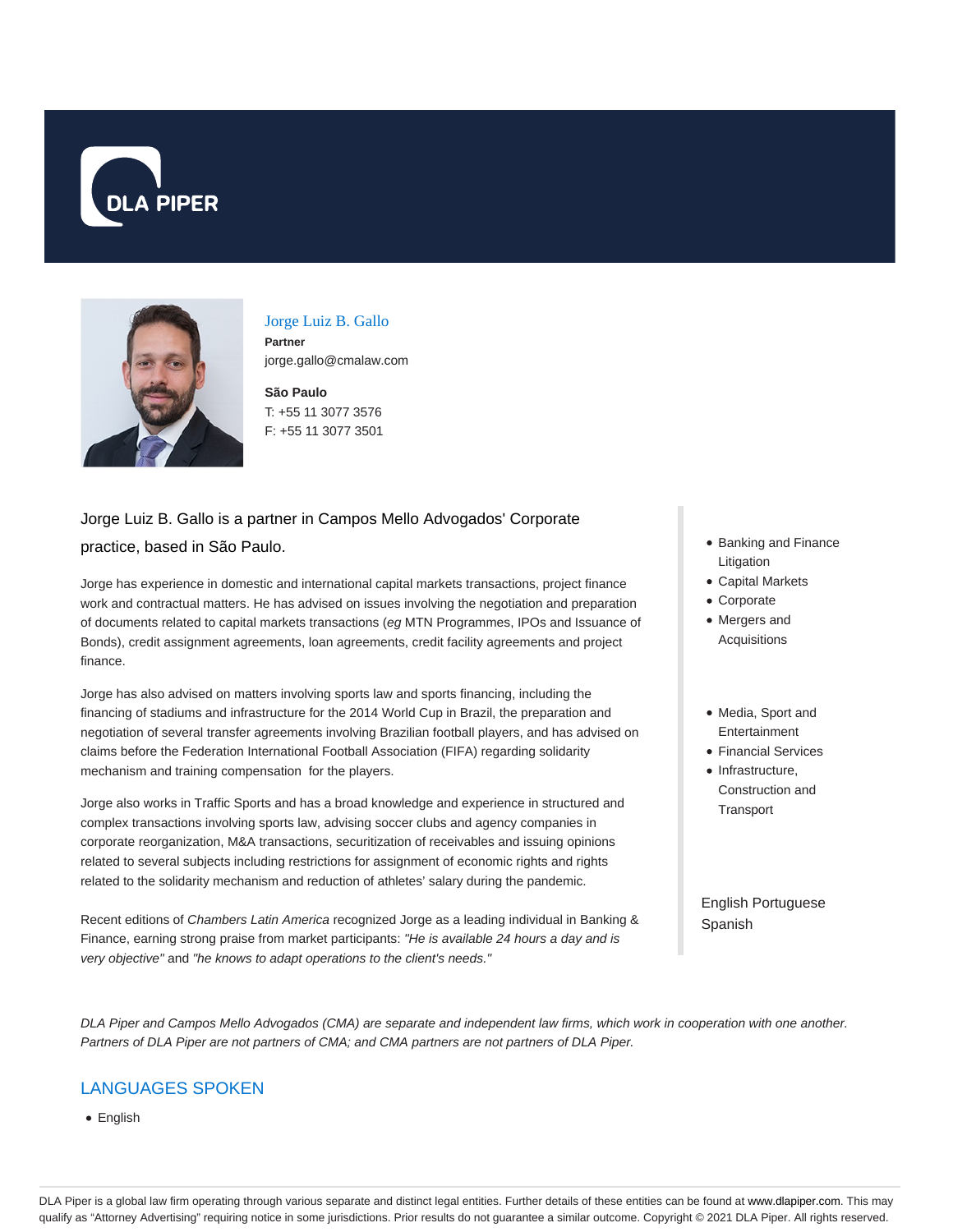



### Jorge Luiz B. Gallo

**Partner** jorge.gallo@cmalaw.com

**São Paulo** T: +55 11 3077 3576 F: +55 11 3077 3501

# Jorge Luiz B. Gallo is a partner in Campos Mello Advogados' Corporate practice, based in São Paulo.

Jorge has experience in domestic and international capital markets transactions, project finance work and contractual matters. He has advised on issues involving the negotiation and preparation of documents related to capital markets transactions (eg MTN Programmes, IPOs and Issuance of Bonds), credit assignment agreements, loan agreements, credit facility agreements and project finance.

Jorge has also advised on matters involving sports law and sports financing, including the financing of stadiums and infrastructure for the 2014 World Cup in Brazil, the preparation and negotiation of several transfer agreements involving Brazilian football players, and has advised on claims before the Federation International Football Association (FIFA) regarding solidarity mechanism and training compensation for the players.

Jorge also works in Traffic Sports and has a broad knowledge and experience in structured and complex transactions involving sports law, advising soccer clubs and agency companies in corporate reorganization, M&A transactions, securitization of receivables and issuing opinions related to several subjects including restrictions for assignment of economic rights and rights related to the solidarity mechanism and reduction of athletes' salary during the pandemic.

Recent editions of Chambers Latin America recognized Jorge as a leading individual in Banking & Finance, earning strong praise from market participants: "He is available 24 hours a day and is very objective" and "he knows to adapt operations to the client's needs."

- Banking and Finance Litigation
- Capital Markets
- Corporate
- Mergers and Acquisitions
- Media, Sport and Entertainment
- Financial Services
- Infrastructure. Construction and **Transport**

English Portuguese Spanish

DLA Piper and Campos Mello Advogados (CMA) are separate and independent law firms, which work in cooperation with one another. Partners of DLA Piper are not partners of CMA; and CMA partners are not partners of DLA Piper.

# LANGUAGES SPOKEN

• English

DLA Piper is a global law firm operating through various separate and distinct legal entities. Further details of these entities can be found at www.dlapiper.com. This may qualify as "Attorney Advertising" requiring notice in some jurisdictions. Prior results do not guarantee a similar outcome. Copyright © 2021 DLA Piper. All rights reserved.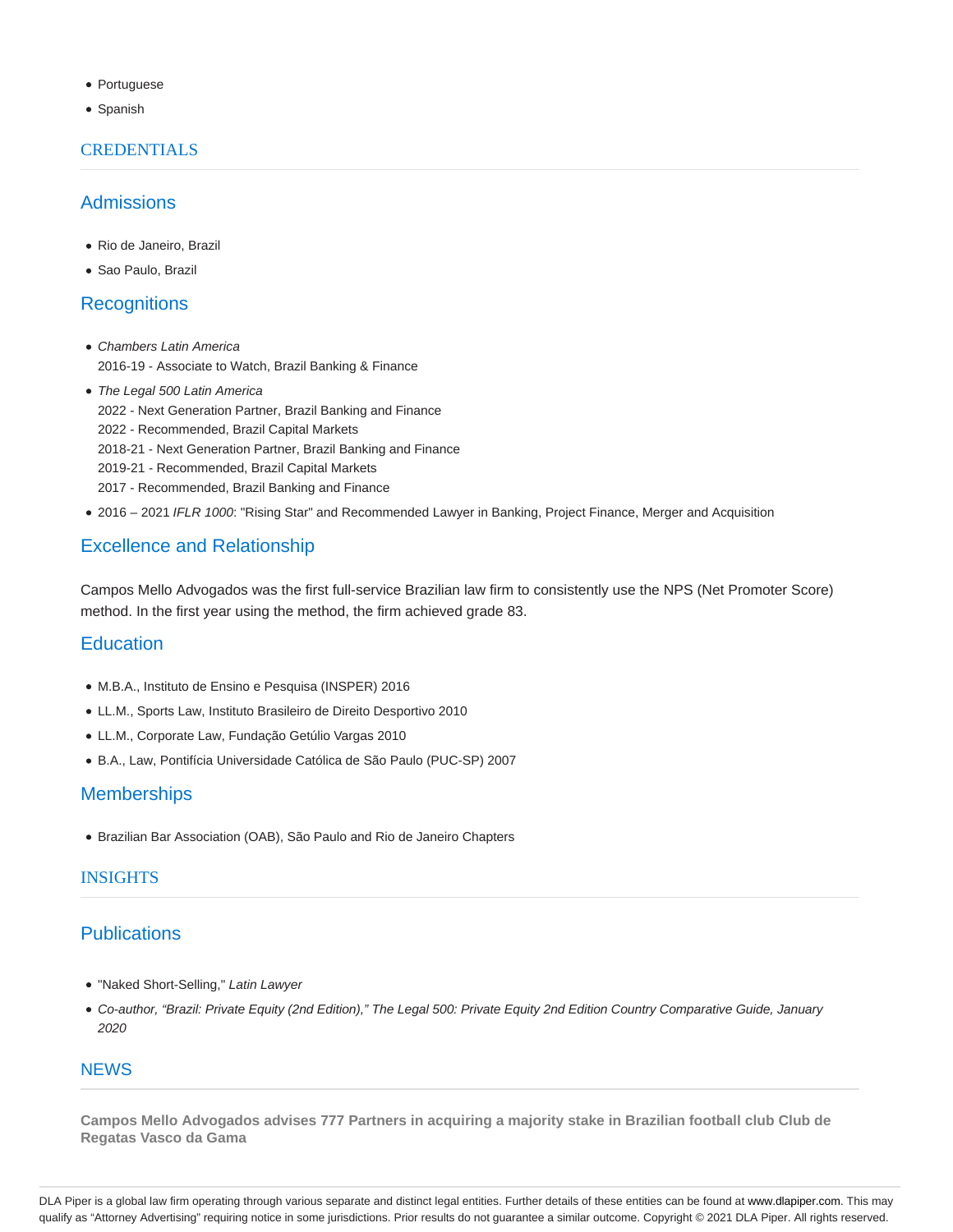- Portuguese
- Spanish

#### **CREDENTIALS**

### Admissions

- Rio de Janeiro, Brazil
- Sao Paulo, Brazil

#### **Recognitions**

- Chambers Latin America 2016-19 - Associate to Watch, Brazil Banking & Finance
- The Legal 500 Latin America 2022 - Next Generation Partner, Brazil Banking and Finance 2022 - Recommended, Brazil Capital Markets 2018-21 - Next Generation Partner, Brazil Banking and Finance 2019-21 - Recommended, Brazil Capital Markets 2017 - Recommended, Brazil Banking and Finance
- 2016 2021 IFLR 1000: "Rising Star" and Recommended Lawyer in Banking, Project Finance, Merger and Acquisition

## Excellence and Relationship

Campos Mello Advogados was the first full-service Brazilian law firm to consistently use the NPS (Net Promoter Score) method. In the first year using the method, the firm achieved grade 83.

#### **Education**

- M.B.A., Instituto de Ensino e Pesquisa (INSPER) 2016
- LL.M., Sports Law, Instituto Brasileiro de Direito Desportivo 2010
- LL.M., Corporate Law, Fundação Getúlio Vargas 2010
- B.A., Law, Pontifícia Universidade Católica de São Paulo (PUC-SP) 2007

#### **Memberships**

Brazilian Bar Association (OAB), São Paulo and Rio de Janeiro Chapters

#### INSIGHTS

#### **Publications**

- "Naked Short-Selling," Latin Lawyer
- Co-author, "Brazil: Private Equity (2nd Edition)," The Legal 500: Private Equity 2nd Edition Country Comparative Guide, January 2020

#### **NEWS**

**Campos Mello Advogados advises 777 Partners in acquiring a majority stake in Brazilian football club Club de Regatas Vasco da Gama**

DLA Piper is a global law firm operating through various separate and distinct legal entities. Further details of these entities can be found at www.dlapiper.com. This may qualify as "Attorney Advertising" requiring notice in some jurisdictions. Prior results do not guarantee a similar outcome. Copyright @ 2021 DLA Piper. All rights reserved.